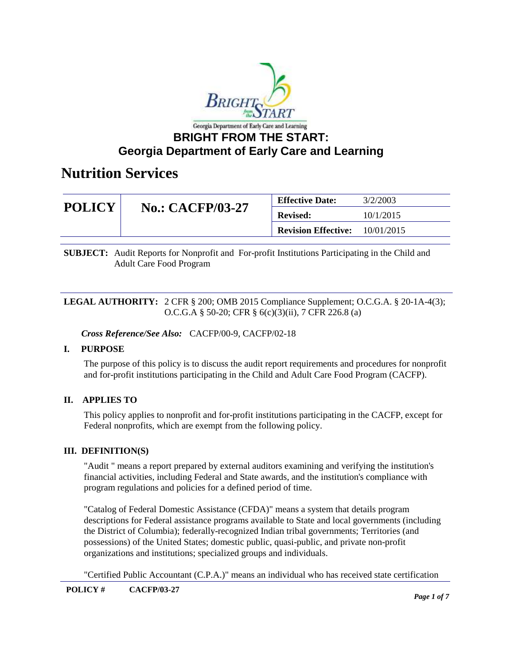

| <b>POLICY</b><br><b>No.: CACFP/03-27</b> | <b>Effective Date:</b><br>3/2/2003 |            |
|------------------------------------------|------------------------------------|------------|
|                                          | <b>Revised:</b>                    | 10/1/2015  |
|                                          | <b>Revision Effective:</b>         | 10/01/2015 |

**SUBJECT:** Audit Reports for Nonprofit and For-profit Institutions Participating in the Child and Adult Care Food Program

#### **LEGAL AUTHORITY:** 2 CFR § 200; OMB 2015 Compliance Supplement; O.C.G.A. § 20-1A-4(3); O.C.G.A § 50-20; CFR § 6(c)(3)(ii), 7 CFR 226.8 (a)

*Cross Reference/See Also:* CACFP/00-9, CACFP/02-18

#### **I. PURPOSE**

The purpose of this policy is to discuss the audit report requirements and procedures for nonprofit and for-profit institutions participating in the Child and Adult Care Food Program (CACFP).

#### **II. APPLIES TO**

This policy applies to nonprofit and for-profit institutions participating in the CACFP, except for Federal nonprofits, which are exempt from the following policy.

#### **III. DEFINITION(S)**

"Audit " means a report prepared by external auditors examining and verifying the institution's financial activities, including Federal and State awards, and the institution's compliance with program regulations and policies for a defined period of time.

"Catalog of Federal Domestic Assistance (CFDA)" means a system that details program descriptions for Federal assistance programs available to State and local governments (including the District of Columbia); federally-recognized Indian tribal governments; Territories (and possessions) of the United States; domestic public, quasi-public, and private non-profit organizations and institutions; specialized groups and individuals.

"Certified Public Accountant (C.P.A.)" means an individual who has received state certification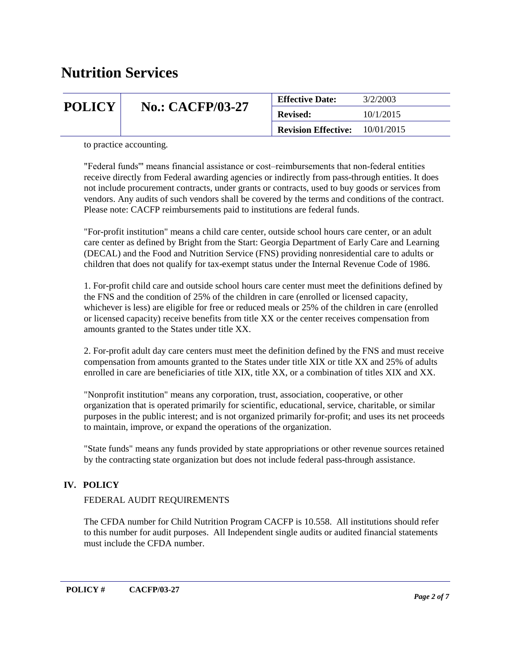| <b>POLICY</b> |                         | <b>Effective Date:</b>     | 3/2/2003   |
|---------------|-------------------------|----------------------------|------------|
|               | <b>No.: CACFP/03-27</b> | <b>Revised:</b>            | 10/1/2015  |
|               |                         | <b>Revision Effective:</b> | 10/01/2015 |

to practice accounting.

"Federal funds'" means financial assistance or cost–reimbursements that non-federal entities receive directly from Federal awarding agencies or indirectly from pass-through entities. It does not include procurement contracts, under grants or contracts, used to buy goods or services from vendors. Any audits of such vendors shall be covered by the terms and conditions of the contract. Please note: CACFP reimbursements paid to institutions are federal funds.

"For-profit institution" means a child care center, outside school hours care center, or an adult care center as defined by Bright from the Start: Georgia Department of Early Care and Learning (DECAL) and the Food and Nutrition Service (FNS) providing nonresidential care to adults or children that does not qualify for tax-exempt status under the Internal Revenue Code of 1986.

1. For-profit child care and outside school hours care center must meet the definitions defined by the FNS and the condition of 25% of the children in care (enrolled or licensed capacity, whichever is less) are eligible for free or reduced meals or 25% of the children in care (enrolled or licensed capacity) receive benefits from title XX or the center receives compensation from amounts granted to the States under title XX.

2. For-profit adult day care centers must meet the definition defined by the FNS and must receive compensation from amounts granted to the States under title XIX or title XX and 25% of adults enrolled in care are beneficiaries of title XIX, title XX, or a combination of titles XIX and XX.

"Nonprofit institution" means any corporation, trust, association, cooperative, or other organization that is operated primarily for scientific, educational, service, charitable, or similar purposes in the public interest; and is not organized primarily for-profit; and uses its net proceeds to maintain, improve, or expand the operations of the organization.

"State funds" means any funds provided by state appropriations or other revenue sources retained by the contracting state organization but does not include federal pass-through assistance.

### **IV. POLICY**

#### FEDERAL AUDIT REQUIREMENTS

The CFDA number for Child Nutrition Program CACFP is 10.558. All institutions should refer to this number for audit purposes. All Independent single audits or audited financial statements must include the CFDA number.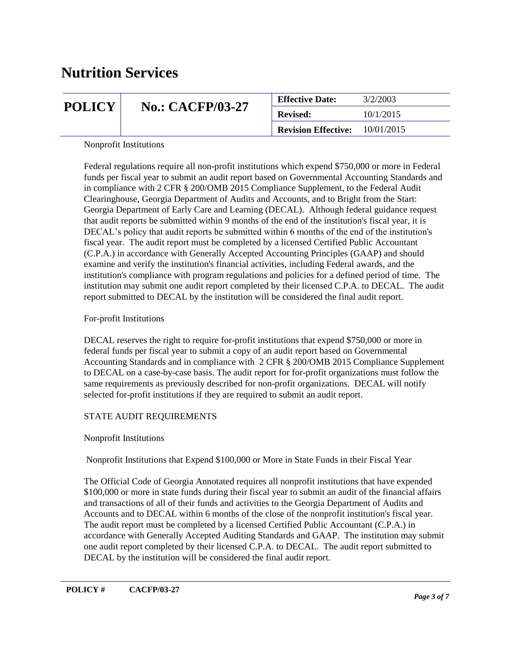| <b>POLICY</b> |                         | 3/2/2003<br><b>Effective Date:</b> |            |
|---------------|-------------------------|------------------------------------|------------|
|               | <b>No.: CACFP/03-27</b> | <b>Revised:</b>                    | 10/1/2015  |
|               |                         | <b>Revision Effective:</b>         | 10/01/2015 |

Nonprofit Institutions

Federal regulations require all non-profit institutions which expend \$750,000 or more in Federal funds per fiscal year to submit an audit report based on Governmental Accounting Standards and in compliance with 2 CFR § 200/OMB 2015 Compliance Supplement, to the Federal Audit Clearinghouse, Georgia Department of Audits and Accounts, and to Bright from the Start: Georgia Department of Early Care and Learning (DECAL). Although federal guidance request that audit reports be submitted within 9 months of the end of the institution's fiscal year, it is DECAL's policy that audit reports be submitted within 6 months of the end of the institution's fiscal year. The audit report must be completed by a licensed Certified Public Accountant (C.P.A.) in accordance with Generally Accepted Accounting Principles (GAAP) and should examine and verify the institution's financial activities, including Federal awards, and the institution's compliance with program regulations and policies for a defined period of time. The institution may submit one audit report completed by their licensed C.P.A. to DECAL. The audit report submitted to DECAL by the institution will be considered the final audit report.

#### For-profit Institutions

DECAL reserves the right to require for-profit institutions that expend \$750,000 or more in federal funds per fiscal year to submit a copy of an audit report based on Governmental Accounting Standards and in compliance with 2 CFR § 200/OMB 2015 Compliance Supplement to DECAL on a case-by-case basis. The audit report for for-profit organizations must follow the same requirements as previously described for non-profit organizations. DECAL will notify selected for-profit institutions if they are required to submit an audit report.

#### STATE AUDIT REQUIREMENTS

#### Nonprofit Institutions

Nonprofit Institutions that Expend \$100,000 or More in State Funds in their Fiscal Year

The Official Code of Georgia Annotated requires all nonprofit institutions that have expended \$100,000 or more in state funds during their fiscal year to submit an audit of the financial affairs and transactions of all of their funds and activities to the Georgia Department of Audits and Accounts and to DECAL within 6 months of the close of the nonprofit institution's fiscal year. The audit report must be completed by a licensed Certified Public Accountant (C.P.A.) in accordance with Generally Accepted Auditing Standards and GAAP. The institution may submit one audit report completed by their licensed C.P.A. to DECAL. The audit report submitted to DECAL by the institution will be considered the final audit report.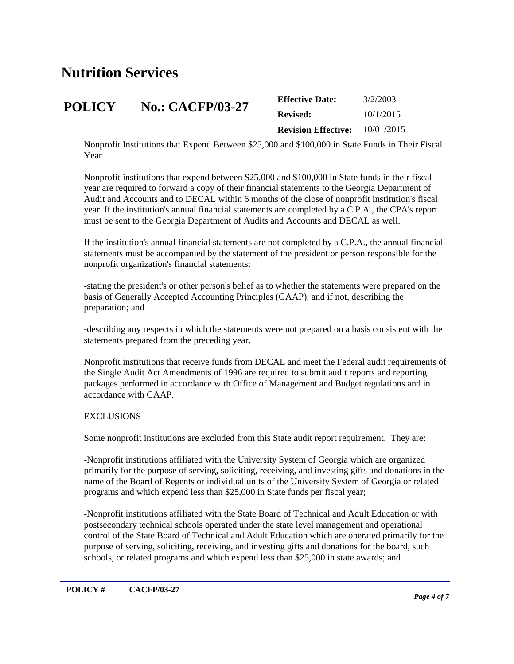| <b>POLICY</b> |                         | <b>Effective Date:</b>     | 3/2/2003   |
|---------------|-------------------------|----------------------------|------------|
|               | <b>No.: CACFP/03-27</b> | <b>Revised:</b>            | 10/1/2015  |
|               |                         | <b>Revision Effective:</b> | 10/01/2015 |

Nonprofit Institutions that Expend Between \$25,000 and \$100,000 in State Funds in Their Fiscal Year

Nonprofit institutions that expend between \$25,000 and \$100,000 in State funds in their fiscal year are required to forward a copy of their financial statements to the Georgia Department of Audit and Accounts and to DECAL within 6 months of the close of nonprofit institution's fiscal year. If the institution's annual financial statements are completed by a C.P.A., the CPA's report must be sent to the Georgia Department of Audits and Accounts and DECAL as well.

If the institution's annual financial statements are not completed by a C.P.A., the annual financial statements must be accompanied by the statement of the president or person responsible for the nonprofit organization's financial statements:

-stating the president's or other person's belief as to whether the statements were prepared on the basis of Generally Accepted Accounting Principles (GAAP), and if not, describing the preparation; and

-describing any respects in which the statements were not prepared on a basis consistent with the statements prepared from the preceding year.

Nonprofit institutions that receive funds from DECAL and meet the Federal audit requirements of the Single Audit Act Amendments of 1996 are required to submit audit reports and reporting packages performed in accordance with Office of Management and Budget regulations and in accordance with GAAP.

#### EXCLUSIONS

Some nonprofit institutions are excluded from this State audit report requirement. They are:

-Nonprofit institutions affiliated with the University System of Georgia which are organized primarily for the purpose of serving, soliciting, receiving, and investing gifts and donations in the name of the Board of Regents or individual units of the University System of Georgia or related programs and which expend less than \$25,000 in State funds per fiscal year;

-Nonprofit institutions affiliated with the State Board of Technical and Adult Education or with postsecondary technical schools operated under the state level management and operational control of the State Board of Technical and Adult Education which are operated primarily for the purpose of serving, soliciting, receiving, and investing gifts and donations for the board, such schools, or related programs and which expend less than \$25,000 in state awards; and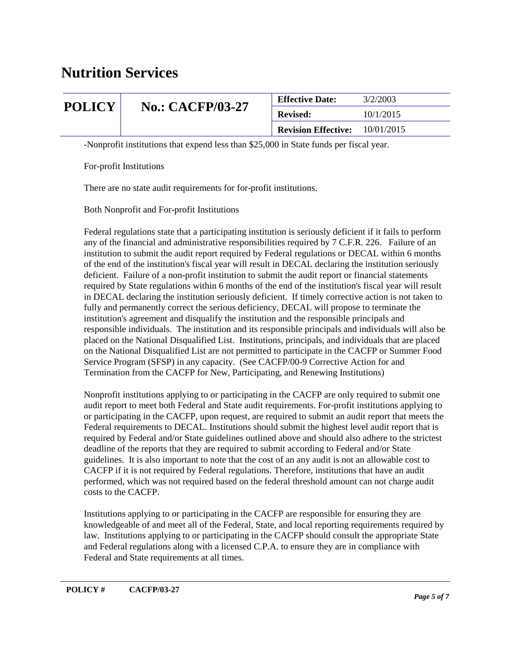|               |                         | <b>Effective Date:</b>     | 3/2/2003   |
|---------------|-------------------------|----------------------------|------------|
| <b>POLICY</b> | <b>No.: CACFP/03-27</b> | <b>Revised:</b>            | 10/1/2015  |
|               |                         | <b>Revision Effective:</b> | 10/01/2015 |

-Nonprofit institutions that expend less than \$25,000 in State funds per fiscal year.

For-profit Institutions

There are no state audit requirements for for-profit institutions.

Both Nonprofit and For-profit Institutions

Federal regulations state that a participating institution is seriously deficient if it fails to perform any of the financial and administrative responsibilities required by 7 C.F.R. 226. Failure of an institution to submit the audit report required by Federal regulations or DECAL within 6 months of the end of the institution's fiscal year will result in DECAL declaring the institution seriously deficient. Failure of a non-profit institution to submit the audit report or financial statements required by State regulations within 6 months of the end of the institution's fiscal year will result in DECAL declaring the institution seriously deficient. If timely corrective action is not taken to fully and permanently correct the serious deficiency, DECAL will propose to terminate the institution's agreement and disqualify the institution and the responsible principals and responsible individuals. The institution and its responsible principals and individuals will also be placed on the National Disqualified List. Institutions, principals, and individuals that are placed on the National Disqualified List are not permitted to participate in the CACFP or Summer Food Service Program (SFSP) in any capacity. (See CACFP/00-9 Corrective Action for and Termination from the CACFP for New, Participating, and Renewing Institutions)

Nonprofit institutions applying to or participating in the CACFP are only required to submit one audit report to meet both Federal and State audit requirements. For-profit institutions applying to or participating in the CACFP, upon request, are required to submit an audit report that meets the Federal requirements to DECAL. Institutions should submit the highest level audit report that is required by Federal and/or State guidelines outlined above and should also adhere to the strictest deadline of the reports that they are required to submit according to Federal and/or State guidelines. It is also important to note that the cost of an any audit is not an allowable cost to CACFP if it is not required by Federal regulations. Therefore, institutions that have an audit performed, which was not required based on the federal threshold amount can not charge audit costs to the CACFP.

Institutions applying to or participating in the CACFP are responsible for ensuring they are knowledgeable of and meet all of the Federal, State, and local reporting requirements required by law. Institutions applying to or participating in the CACFP should consult the appropriate State and Federal regulations along with a licensed C.P.A. to ensure they are in compliance with Federal and State requirements at all times.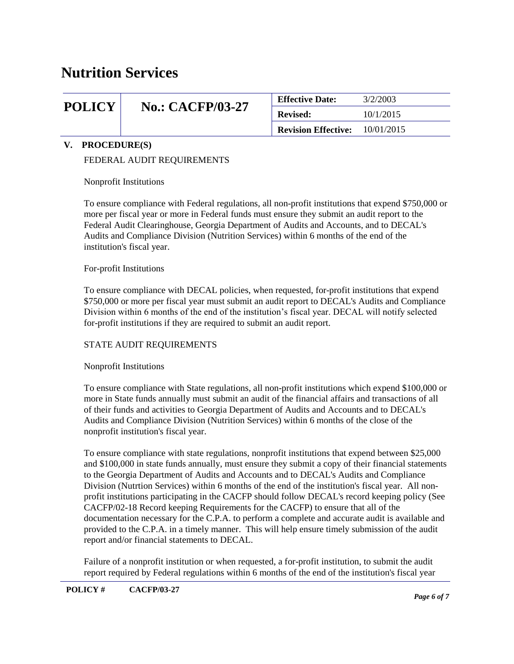## **POLICY | No.: CACFP/03-27**

| <b>Effective Date:</b>                  | 3/2/2003  |
|-----------------------------------------|-----------|
| <b>Revised:</b>                         | 10/1/2015 |
| <b>Revision Effective:</b> $10/01/2015$ |           |
|                                         |           |

#### **V. PROCEDURE(S)**

#### FEDERAL AUDIT REQUIREMENTS

Nonprofit Institutions

To ensure compliance with Federal regulations, all non-profit institutions that expend \$750,000 or more per fiscal year or more in Federal funds must ensure they submit an audit report to the Federal Audit Clearinghouse, Georgia Department of Audits and Accounts, and to DECAL's Audits and Compliance Division (Nutrition Services) within 6 months of the end of the institution's fiscal year.

#### For-profit Institutions

To ensure compliance with DECAL policies, when requested, for-profit institutions that expend \$750,000 or more per fiscal year must submit an audit report to DECAL's Audits and Compliance Division within 6 months of the end of the institution's fiscal year. DECAL will notify selected for-profit institutions if they are required to submit an audit report.

#### STATE AUDIT REQUIREMENTS

#### Nonprofit Institutions

To ensure compliance with State regulations, all non-profit institutions which expend \$100,000 or more in State funds annually must submit an audit of the financial affairs and transactions of all of their funds and activities to Georgia Department of Audits and Accounts and to DECAL's Audits and Compliance Division (Nutrition Services) within 6 months of the close of the nonprofit institution's fiscal year.

To ensure compliance with state regulations, nonprofit institutions that expend between \$25,000 and \$100,000 in state funds annually, must ensure they submit a copy of their financial statements to the Georgia Department of Audits and Accounts and to DECAL's Audits and Compliance Division (Nutrtion Services) within 6 months of the end of the institution's fiscal year. All nonprofit institutions participating in the CACFP should follow DECAL's record keeping policy (See CACFP/02-18 Record keeping Requirements for the CACFP) to ensure that all of the documentation necessary for the C.P.A. to perform a complete and accurate audit is available and provided to the C.P.A. in a timely manner. This will help ensure timely submission of the audit report and/or financial statements to DECAL.

Failure of a nonprofit institution or when requested, a for-profit institution, to submit the audit report required by Federal regulations within 6 months of the end of the institution's fiscal year